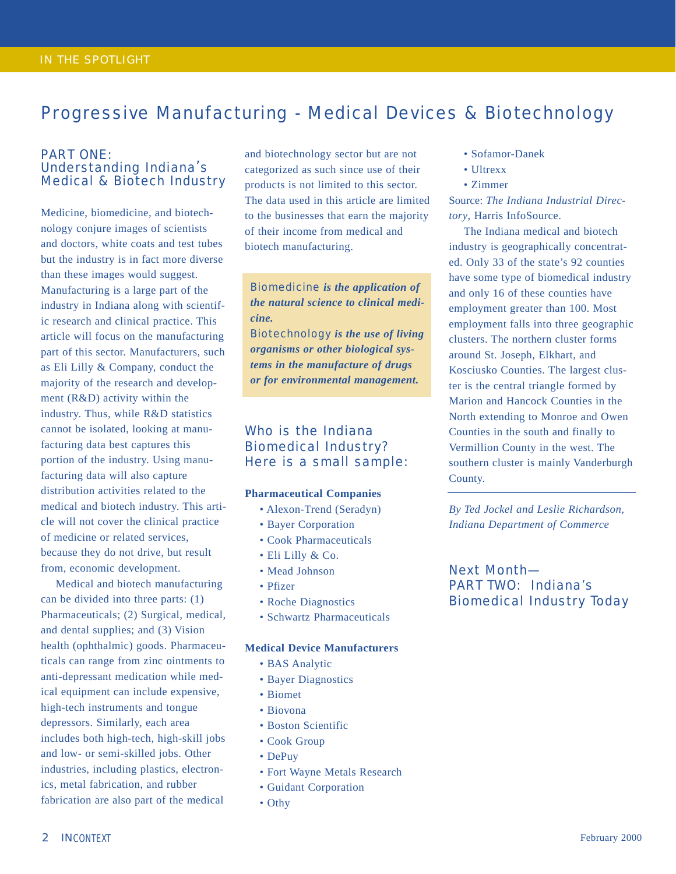## Progressive Manufacturing - Medical Devices & Biotechnology

### PART ONE: Understanding Indiana's Medical & Biotech Industry

Medicine, biomedicine, and biotechnology conjure images of scientists and doctors, white coats and test tubes but the industry is in fact more diverse than these images would suggest. Manufacturing is a large part of the industry in Indiana along with scientific research and clinical practice. This article will focus on the manufacturing part of this sector. Manufacturers, such as Eli Lilly & Company, conduct the majority of the research and development (R&D) activity within the industry. Thus, while R&D statistics cannot be isolated, looking at manufacturing data best captures this portion of the industry. Using manufacturing data will also capture distribution activities related to the medical and biotech industry. This article will not cover the clinical practice of medicine or related services, because they do not drive, but result from, economic development.

Medical and biotech manufacturing can be divided into three parts: (1) Pharmaceuticals; (2) Surgical, medical, and dental supplies; and (3) Vision health (ophthalmic) goods. Pharmaceuticals can range from zinc ointments to anti-depressant medication while medical equipment can include expensive, high-tech instruments and tongue depressors. Similarly, each area includes both high-tech, high-skill jobs and low- or semi-skilled jobs. Other industries, including plastics, electronics, metal fabrication, and rubber fabrication are also part of the medical

and biotechnology sector but are not categorized as such since use of their products is not limited to this sector. The data used in this article are limited to the businesses that earn the majority of their income from medical and biotech manufacturing.

Biomedicine *is the application of the natural science to clinical medicine.*

Biotechnology *is the use of living organisms or other biological systems in the manufacture of drugs or for environmental management.*

## Who is the Indiana Biomedical Industry? Here is a small sample:

#### **Pharmaceutical Companies**

- Alexon-Trend (Seradyn)
- Bayer Corporation
- Cook Pharmaceuticals
- Eli Lilly & Co.
- Mead Johnson
- Pfizer
- Roche Diagnostics
- Schwartz Pharmaceuticals

#### **Medical Device Manufacturers**

- BAS Analytic
- Bayer Diagnostics
- Biomet
- Biovona
- Boston Scientific
- Cook Group
- DePuy
- Fort Wayne Metals Research
- Guidant Corporation
- Othy
- Sofamor-Danek
- Ultrexx
- Zimmer

Source: *The Indiana Industrial Directory*, Harris InfoSource.

The Indiana medical and biotech industry is geographically concentrated. Only 33 of the state's 92 counties have some type of biomedical industry and only 16 of these counties have employment greater than 100. Most employment falls into three geographic clusters. The northern cluster forms around St. Joseph, Elkhart, and Kosciusko Counties. The largest cluster is the central triangle formed by Marion and Hancock Counties in the North extending to Monroe and Owen Counties in the south and finally to Vermillion County in the west. The southern cluster is mainly Vanderburgh County.

*By Ted Jockel and Leslie Richardson, Indiana Department of Commerce*

Next Month— PART TWO: Indiana's Biomedical Industry Today